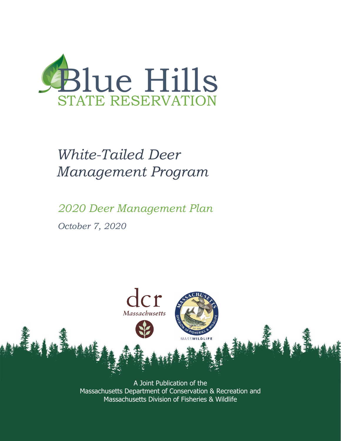

### *White-Tailed Deer Management Program*

*2020 Deer Management Plan October 7, 2020*



A Joint Publication of the Massachusetts Department of Conservation & Recreation and Massachusetts Division of Fisheries & Wildlife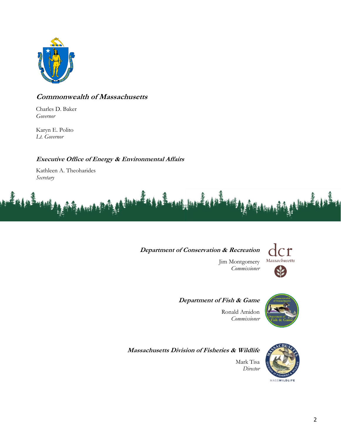

#### **Commonwealth of Massachusetts**

Charles D. Baker *Governor*

Karyn E. Polito *Lt. Governor*

#### **Executive Office of Energy & Environmental Affairs**

Kathleen A. Theoharides *Secretary*



#### **Department of Conservation & Recreation**



Jim Montgomery *Commissioner*

**Department of Fish & Game**



Ronald Amidon *Commissioner*

**Massachusetts Division of Fisheries & Wildlife**

Mark Tisa *Director*

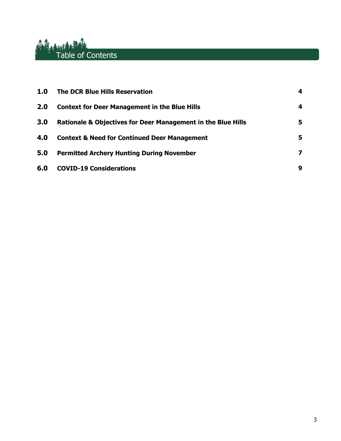# **Alternative Contents**

| 1.0 | <b>The DCR Blue Hills Reservation</b>                                   | 4 |
|-----|-------------------------------------------------------------------------|---|
| 2.0 | <b>Context for Deer Management in the Blue Hills</b>                    | 4 |
| 3.0 | <b>Rationale &amp; Objectives for Deer Management in the Blue Hills</b> | 5 |
| 4.0 | <b>Context &amp; Need for Continued Deer Management</b>                 | 5 |
| 5.0 | <b>Permitted Archery Hunting During November</b>                        | 7 |
| 6.0 | <b>COVID-19 Considerations</b>                                          | 9 |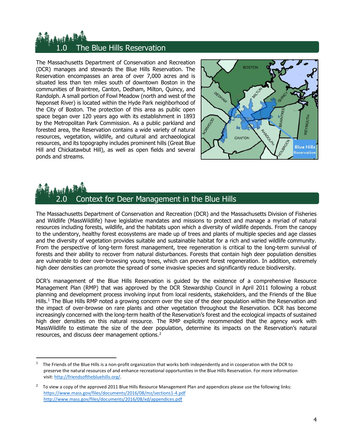### The Blue Hills Reservation

The Massachusetts Department of Conservation and Recreation (DCR) manages and stewards the Blue Hills Reservation. The Reservation encompasses an area of over 7,000 acres and is situated less than ten miles south of downtown Boston in the communities of Braintree, Canton, Dedham, Milton, Quincy, and Randolph. A small portion of Fowl Meadow (north and west of the Neponset River) is located within the Hyde Park neighborhood of the City of Boston. The protection of this area as public open space began over 120 years ago with its establishment in 1893 by the Metropolitan Park Commission. As a public parkland and forested area, the Reservation contains a wide variety of natural resources, vegetation, wildlife, and cultural and archaeological resources, and its topography includes prominent hills (Great Blue Hill and Chickatawbut Hill), as well as open fields and several ponds and streams.



## 2.0 Context for Deer Management in the Blue Hills

The Massachusetts Department of Conservation and Recreation (DCR) and the Massachusetts Division of Fisheries and Wildlife (MassWildlife) have legislative mandates and missions to protect and manage a myriad of natural resources including forests, wildlife, and the habitats upon which a diversity of wildlife depends. From the canopy to the understory, healthy forest ecosystems are made up of trees and plants of multiple species and age classes and the diversity of vegetation provides suitable and sustainable habitat for a rich and varied wildlife community. From the perspective of long-term forest management, tree regeneration is critical to the long-term survival of forests and their ability to recover from natural disturbances. Forests that contain high deer population densities are vulnerable to deer over-browsing young trees, which can prevent forest regeneration. In addition, extremely high deer densities can promote the spread of some invasive species and significantly reduce biodiversity.

DCR's management of the Blue Hills Reservation is guided by the existence of a comprehensive Resource Management Plan (RMP) that was approved by the DCR Stewardship Council in April 2011 following a robust planning and development process involving input from local residents, stakeholders, and the Friends of the Blue Hills.<sup>1</sup> The Blue Hills RMP noted a growing concern over the size of the deer population within the Reservation and the impact of over-browse on rare plants and other vegetation throughout the Reservation. DCR has become increasingly concerned with the long-term health of the Reservation's forest and the ecological impacts of sustained high deer densities on this natural resource. The RMP explicitly recommended that the agency work with MassWildlife to estimate the size of the deer population, determine its impacts on the Reservation's natural resources, and discuss deer management options.<sup>2</sup>

<sup>1</sup> The Friends of the Blue Hills is a non-profit organization that works both independently and in cooperation with the DCR to preserve the natural resources of and enhance recreational opportunities in the Blue Hills Reservation. For more information visit[: http://friendsofthebluehills.org/.](http://friendsofthebluehills.org/)

<sup>2</sup> To view a copy of the approved 2011 Blue Hills Resource Management Plan and appendices please use the following links: <https://www.mass.gov/files/documents/2016/08/mz/sections1-4.pdf> <http://www.mass.gov/files/documents/2016/08/xd/appendices.pdf>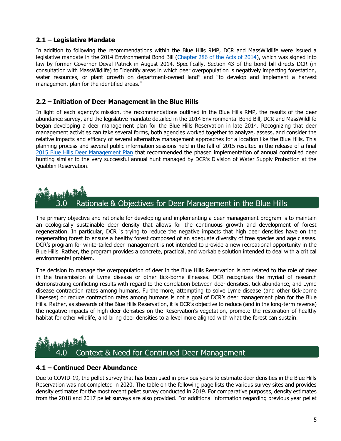#### **2.1 – Legislative Mandate**

In addition to following the recommendations within the Blue Hills RMP, DCR and MassWildlife were issued a legislative mandate in the 2014 Environmental Bond Bill [\(Chapter 286 of the Acts of 2014\)](https://malegislature.gov/Laws/SessionLaws/Acts/2014/Chapter286), which was signed into law by former Governor Deval Patrick in August 2014. Specifically, Section 43 of the bond bill directs DCR (in consultation with MassWildlife) to "identify areas in which deer overpopulation is negatively impacting forestation, water resources, or plant growth on department-owned land" and "to develop and implement a harvest management plan for the identified areas."

#### **2.2 – Initiation of Deer Management in the Blue Hills**

In light of each agency's mission, the recommendations outlined in the Blue Hills RMP, the results of the deer abundance survey, and the legislative mandate detailed in the 2014 Environmental Bond Bill, DCR and MassWildlife began developing a deer management plan for the Blue Hills Reservation in late 2014. Recognizing that deer management activities can take several forms, both agencies worked together to analyze, assess, and consider the relative impacts and efficacy of several alternative management approaches for a location like the Blue Hills. This planning process and several public information sessions held in the fall of 2015 resulted in the release of a final [2015 Blue Hills Deer Management Plan](https://www.mass.gov/doc/2015-blue-hills-deer-management-plan/download) that recommended the phased implementation of annual controlled deer hunting similar to the very successful annual hunt managed by DCR's Division of Water Supply Protection at the Quabbin Reservation.

### Rationale & Objectives for Deer Management in the Blue Hills

The primary objective and rationale for developing and implementing a deer management program is to maintain an ecologically sustainable deer density that allows for the continuous growth and development of forest regeneration. In particular, DCR is trying to reduce the negative impacts that high deer densities have on the regenerating forest to ensure a healthy forest composed of an adequate diversity of tree species and age classes. DCR's program for white-tailed deer management is not intended to provide a new recreational opportunity in the Blue Hills. Rather, the program provides a concrete, practical, and workable solution intended to deal with a critical environmental problem.

The decision to manage the overpopulation of deer in the Blue Hills Reservation is not related to the role of deer in the transmission of Lyme disease or other tick-borne illnesses. DCR recognizes the myriad of research demonstrating conflicting results with regard to the correlation between deer densities, tick abundance, and Lyme disease contraction rates among humans. Furthermore, attempting to solve Lyme disease (and other tick-borne illnesses) or reduce contraction rates among humans is not a goal of DCR's deer management plan for the Blue Hills. Rather, as stewards of the Blue Hills Reservation, it is DCR's objective to reduce (and in the long-term reverse) the negative impacts of high deer densities on the Reservation's vegetation, promote the restoration of healthy habitat for other wildlife, and bring deer densities to a level more aligned with what the forest can sustain.

## Context & Need for Continued Deer Management

#### **4.1 – Continued Deer Abundance**

Due to COVID-19, the pellet survey that has been used in previous years to estimate deer densities in the Blue Hills Reservation was not completed in 2020. The table on the following page lists the various survey sites and provides density estimates for the most recent pellet survey conducted in 2019. For comparative purposes, density estimates from the 2018 and 2017 pellet surveys are also provided. For additional information regarding previous year pellet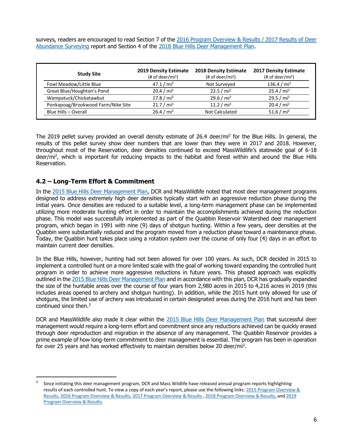surveys, readers are encouraged to read Section 7 of the 2016 Program Overview & Results / 2017 Results of Deer [Abundance Surveying](https://www.mass.gov/files/documents/2017/09/25/2016-deer%20program-overview-and-2017-population-surveys-report.pdf) report and Section 4 of the [2018 Blue Hills Deer Management Plan.](https://www.mass.gov/files/documents/2018/08/30/2018%20Blue%20Hills%20Deer%20Management%20Plan.pdf)

| <b>Study Site</b>                  | <b>2019 Density Estimate</b><br>(# of deer/mi <sup>2</sup> ) | <b>2018 Density Estimate</b><br>$#$ of deer/mi <sup>2</sup> ) | <b>2017 Density Estimate</b><br>$#$ of deer/mi <sup>2</sup> ) |
|------------------------------------|--------------------------------------------------------------|---------------------------------------------------------------|---------------------------------------------------------------|
| Fowl Meadow/Little Blue            | 47.1 / $mi^2$                                                | Not Surveyed                                                  | 136.4 / $mi^2$                                                |
| Great Blue/Houghton's Pond         | 20.4 / mi <sup>2</sup>                                       | 22.5 / $mi^2$                                                 | 25.4 / mi <sup>2</sup>                                        |
| Wampatuck/Chickatawbut             | 17.8 / $mi^2$                                                | 29.6 / $mi^2$                                                 | 29.5 / $mi^2$                                                 |
| Ponkapoag/Brookwood Farm/Nike Site | 21.7 / mi <sup>2</sup>                                       | 11.2 / $mi^2$                                                 | 20.4 / mi <sup>2</sup>                                        |
| Blue Hills - Overall               | 26.4 / mi <sup>2</sup>                                       | <b>Not Calculated</b>                                         | 51.6 / $mi^2$                                                 |

The 2019 pellet survey provided an overall density estimate of 26.4 deer/mi<sup>2</sup> for the Blue Hills. In general, the results of this pellet survey show deer numbers that are lower than they were in 2017 and 2018. However, throughout most of the Reservation, deer densities continued to exceed MassWildlife's statewide goal of 6-18 deer/mi<sup>2</sup>, which is important for reducing impacts to the habitat and forest within and around the Blue Hills Reservation.

#### **4.2 – Long-Term Effort & Commitment**

In the [2015 Blue Hills Deer Management Plan,](https://www.mass.gov/doc/2015-blue-hills-deer-management-plan/download) DCR and MassWildlife noted that most deer management programs designed to address extremely high deer densities typically start with an aggressive reduction phase during the initial years. Once densities are reduced to a suitable level, a long-term management phase can be implemented utilizing more moderate hunting effort in order to maintain the accomplishments achieved during the reduction phase. This model was successfully implemented as part of the Quabbin Reservoir Watershed deer management program, which began in 1991 with nine (9) days of shotgun hunting. Within a few years, deer densities at the Quabbin were substantially reduced and the program moved from a reduction phase toward a maintenance phase. Today, the Quabbin hunt takes place using a rotation system over the course of only four (4) days in an effort to maintain current deer densities.

In the Blue Hills, however, hunting had not been allowed for over 100 years. As such, DCR decided in 2015 to implement a controlled hunt on a more limited scale with the goal of working toward expanding the controlled hunt program in order to achieve more aggressive reductions in future years. This phased approach was explicitly outlined in the [2015 Blue Hills Deer Management Plan](https://www.mass.gov/doc/2015-blue-hills-deer-management-plan/download) and in accordance with this plan, DCR has gradually expanded the size of the huntable areas over the course of four years from 2,980 acres in 2015 to 4,216 acres in 2019 (this includes areas opened to archery and shotgun hunting). In addition, while the 2015 hunt only allowed for use of shotguns, the limited use of archery was introduced in certain designated areas during the 2016 hunt and has been continued since then. 3

DCR and MassWildlife also made it clear within the [2015 Blue Hills Deer Management Plan](https://www.mass.gov/doc/2015-blue-hills-deer-management-plan/download) that successful deer management would require a long-term effort and commitment since any reductions achieved can be quickly erased through deer reproduction and migration in the absence of any management. The Quabbin Reservoir provides a prime example of how long-term commitment to deer management is essential. The program has been in operation for over 25 years and has worked effectively to maintain densities below 20 deer/mi<sup>2</sup>.

<sup>3</sup> Since initiating this deer management program, DCR and Mass Wildlife have released annual program reports highlighting results of each controlled hunt. To view a copy of each year's report, please use the following links: [2015 Program Overview &](https://www.mass.gov/files/documents/2016/08/xk/2015-program-report.pdf)  [Results,](https://www.mass.gov/files/documents/2016/08/xk/2015-program-report.pdf) [2016 Program Overview & Results,](https://www.mass.gov/files/documents/2017/09/zm/2016%2520Program%2520Overview%2520%2526%25202017%2520Population%2520Surveys%2520Report.pdf) [2017 Program Overview & Results](https://www.mass.gov/files/documents/2018/03/27/2017%20Blue%20Hills%20Deer%20Management%20Program%20Overview%20%26%20Results.pdf) , [2018 Program Overview & Results,](https://www.mass.gov/files/documents/2019/02/13/2018%20Blue%20Hills%20Deer%20Management%20Program%20Overview%20%26%20Results.pdf) an[d 2019](https://www.mass.gov/files/documents/2019/09/23/2019%20Blue%20Hills%20Deer%20Management%20Plan%20092319%20FINAL.pdf)  [Program Overview & Results.](https://www.mass.gov/files/documents/2019/09/23/2019%20Blue%20Hills%20Deer%20Management%20Plan%20092319%20FINAL.pdf)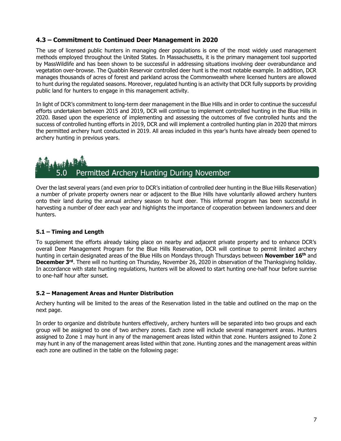#### **4.3 – Commitment to Continued Deer Management in 2020**

The use of licensed public hunters in managing deer populations is one of the most widely used management methods employed throughout the United States. In Massachusetts, it is the primary management tool supported by MassWildlife and has been shown to be successful in addressing situations involving deer overabundance and vegetation over-browse. The Quabbin Reservoir controlled deer hunt is the most notable example. In addition, DCR manages thousands of acres of forest and parkland across the Commonwealth where licensed hunters are allowed to hunt during the regulated seasons. Moreover, regulated hunting is an activity that DCR fully supports by providing public land for hunters to engage in this management activity.

In light of DCR's commitment to long-term deer management in the Blue Hills and in order to continue the successful efforts undertaken between 2015 and 2019, DCR will continue to implement controlled hunting in the Blue Hills in 2020. Based upon the experience of implementing and assessing the outcomes of five controlled hunts and the success of controlled hunting efforts in 2019, DCR and will implement a controlled hunting plan in 2020 that mirrors the permitted archery hunt conducted in 2019. All areas included in this year's hunts have already been opened to archery hunting in previous years.

### Permitted Archery Hunting During November

Over the last several years (and even prior to DCR's initiation of controlled deer hunting in the Blue Hills Reservation) a number of private property owners near or adjacent to the Blue Hills have voluntarily allowed archery hunters onto their land during the annual archery season to hunt deer. This informal program has been successful in harvesting a number of deer each year and highlights the importance of cooperation between landowners and deer hunters.

#### **5.1 – Timing and Length**

To supplement the efforts already taking place on nearby and adjacent private property and to enhance DCR's overall Deer Management Program for the Blue Hills Reservation, DCR will continue to permit limited archery hunting in certain designated areas of the Blue Hills on Mondays through Thursdays between **November 16th** and December 3<sup>rd</sup>. There will no hunting on Thursday, November 26, 2020 in observation of the Thanksgiving holiday. In accordance with state hunting regulations, hunters will be allowed to start hunting one-half hour before sunrise to one-half hour after sunset.

#### **5.2 – Management Areas and Hunter Distribution**

Archery hunting will be limited to the areas of the Reservation listed in the table and outlined on the map on the next page.

In order to organize and distribute hunters effectively, archery hunters will be separated into two groups and each group will be assigned to one of two archery zones. Each zone will include several management areas. Hunters assigned to Zone 1 may hunt in any of the management areas listed within that zone. Hunters assigned to Zone 2 may hunt in any of the management areas listed within that zone. Hunting zones and the management areas within each zone are outlined in the table on the following page: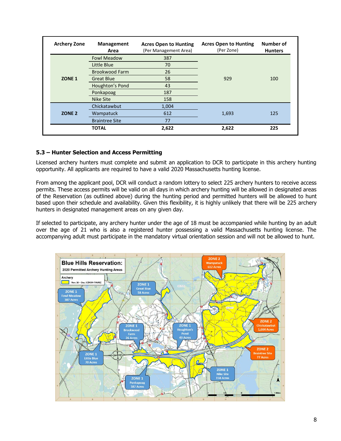| <b>Archery Zone</b> | <b>Management</b><br>Area | <b>Acres Open to Hunting</b><br>(Per Management Area) | <b>Acres Open to Hunting</b><br>(Per Zone) | Number of<br><b>Hunters</b> |
|---------------------|---------------------------|-------------------------------------------------------|--------------------------------------------|-----------------------------|
|                     | <b>Fowl Meadow</b>        | 387                                                   |                                            |                             |
|                     | Little Blue               | 70                                                    |                                            |                             |
|                     | <b>Brookwood Farm</b>     | 26                                                    |                                            |                             |
| ZONE <sub>1</sub>   | <b>Great Blue</b>         | 58                                                    | 929                                        | 100                         |
|                     | Houghton's Pond           | 43                                                    |                                            |                             |
|                     | Ponkapoag                 | 187                                                   |                                            |                             |
|                     | Nike Site                 | 158                                                   |                                            |                             |
|                     | Chickatawbut              | 1,004                                                 |                                            |                             |
| ZONE <sub>2</sub>   | Wampatuck                 | 612                                                   | 1,693                                      | 125                         |
|                     | <b>Braintree Site</b>     | 77                                                    |                                            |                             |
|                     | <b>TOTAL</b>              | 2,622                                                 | 2,622                                      | 225                         |

#### **5.3 – Hunter Selection and Access Permitting**

Licensed archery hunters must complete and submit an application to DCR to participate in this archery hunting opportunity. All applicants are required to have a valid 2020 Massachusetts hunting license.

From among the applicant pool, DCR will conduct a random lottery to select 225 archery hunters to receive access permits. These access permits will be valid on all days in which archery hunting will be allowed in designated areas of the Reservation (as outlined above) during the hunting period and permitted hunters will be allowed to hunt based upon their schedule and availability. Given this flexibility, it is highly unlikely that there will be 225 archery hunters in designated management areas on any given day.

If selected to participate, any archery hunter under the age of 18 must be accompanied while hunting by an adult over the age of 21 who is also a registered hunter possessing a valid Massachusetts hunting license. The accompanying adult must participate in the mandatory virtual orientation session and will not be allowed to hunt.